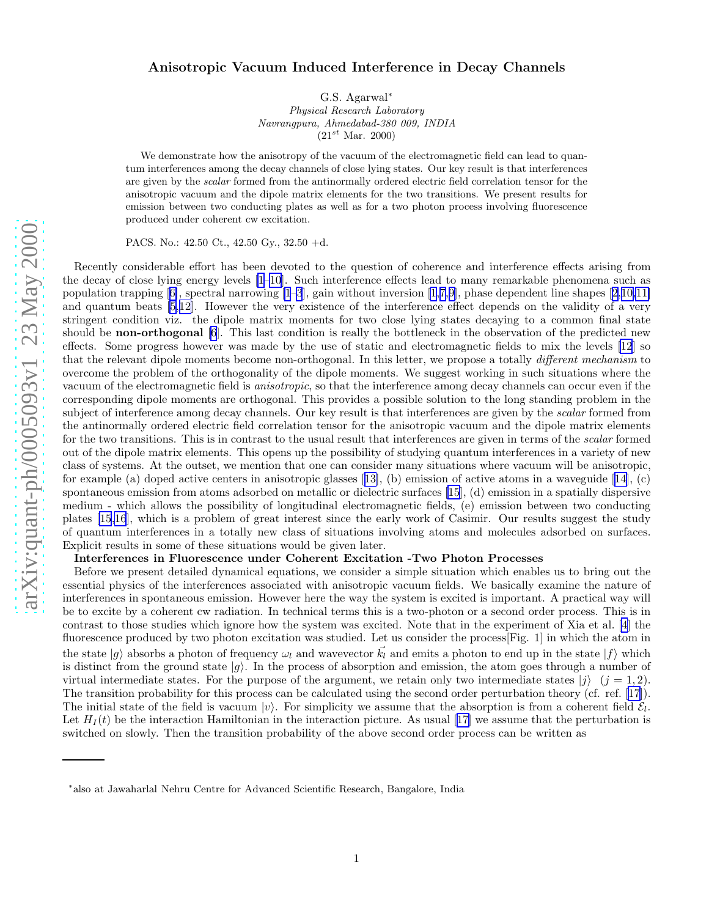## Anisotropic Vacuum Induced Interference in Decay Channels

G.S. Agarwal ∗

Physical Research Laboratory Navrangpura, Ahmedabad-380 009, INDIA  $(21^{st}$  Mar. 2000)

We demonstrate how the anisotropy of the vacuum of the electromagnetic field can lead to quantum interferences among the decay channels of close lying states. Our key result is that interferences are given by the scalar formed from the antinormally ordered electric field correlation tensor for the anisotropic vacuum and the dipole matrix elements for the two transitions. We present results for emission between two conducting plates as well as for a two photon process involving fluorescence produced under coherent cw excitation.

PACS. No.: 42.50 Ct., 42.50 Gy., 32.50 +d.

Recently considerable effort has been devoted to the question of coherence and interference effects arising from the decay of close lying energy levels [\[1](#page-3-0)[–10](#page-4-0)]. Such interference effects lead to many remarkable phenomena such as population trapping[[6\]](#page-3-0), spectral narrowing [\[1–3](#page-3-0)], gain without inversion [\[1](#page-3-0),[7,](#page-3-0)[9\]](#page-4-0), phase dependent line shapes[[2,](#page-3-0)[10,11\]](#page-4-0) and quantum beats [\[5](#page-3-0),[12\]](#page-4-0). However the very existence of the interference effect depends on the validity of a very stringent condition viz. the dipole matrix moments for two close lying states decaying to a common final state should be **non-orthogonal** [\[6](#page-3-0)]. This last condition is really the bottleneck in the observation of the predicted new effects. Some progress however was made by the use of static and electromagnetic fields to mix the levels [\[12](#page-4-0)] so that the relevant dipole moments become non-orthogonal. In this letter, we propose a totally *different mechanism* to overcome the problem of the orthogonality of the dipole moments. We suggest working in such situations where the vacuum of the electromagnetic field is anisotropic, so that the interference among decay channels can occur even if the corresponding dipole moments are orthogonal. This provides a possible solution to the long standing problem in the subject of interference among decay channels. Our key result is that interferences are given by the *scalar* formed from the antinormally ordered electric field correlation tensor for the anisotropic vacuum and the dipole matrix elements for the two transitions. This is in contrast to the usual result that interferences are given in terms of the *scalar* formed out of the dipole matrix elements. This opens up the possibility of studying quantum interferences in a variety of new class of systems. At the outset, we mention that one can consider many situations where vacuum will be anisotropic, for example (a) doped active centers in anisotropic glasses [[13\]](#page-4-0), (b) emission of active atoms in a waveguide [\[14](#page-4-0)], (c) spontaneous emission from atoms adsorbed on metallic or dielectric surfaces [\[15](#page-4-0)], (d) emission in a spatially dispersive medium - which allows the possibility of longitudinal electromagnetic fields, (e) emission between two conducting plates [\[15,16](#page-4-0)], which is a problem of great interest since the early work of Casimir. Our results suggest the study of quantum interferences in a totally new class of situations involving atoms and molecules adsorbed on surfaces. Explicit results in some of these situations would be given later.

## Interferences in Fluorescence under Coherent Excitation -Two Photon Processes

Before we present detailed dynamical equations, we consider a simple situation which enables us to bring out the essential physics of the interferences associated with anisotropic vacuum fields. We basically examine the nature of interferences in spontaneous emission. However here the way the system is excited is important. A practical way will be to excite by a coherent cw radiation. In technical terms this is a two-photon or a second order process. This is in contrast to those studies which ignore how the system was excited. Note that in the experiment of Xia et al. [\[4](#page-3-0)] the fluorescence produced by two photon excitation was studied. Let us consider the process[Fig. 1] in which the atom in the state  $|g\rangle$  absorbs a photon of frequency  $\omega_l$  and wavevector  $\vec{k_l}$  and emits a photon to end up in the state  $|f\rangle$  which is distinct from the ground state  $|g\rangle$ . In the process of absorption and emission, the atom goes through a number of virtual intermediate states. For the purpose of the argument, we retain only two intermediate states  $|j\rangle$   $(j = 1, 2)$ . The transition probability for this process can be calculated using the second order perturbation theory (cf. ref.[[17\]](#page-4-0)). The initial state of the field is vacuum  $|v\rangle$ . For simplicity we assume that the absorption is from a coherent field  $\mathcal{E}_l$ . Let $H_I(t)$  be the interaction Hamiltonian in the interaction picture. As usual [[17\]](#page-4-0) we assume that the perturbation is switched on slowly. Then the transition probability of the above second order process can be written as

<sup>∗</sup> also at Jawaharlal Nehru Centre for Advanced Scientific Research, Bangalore, India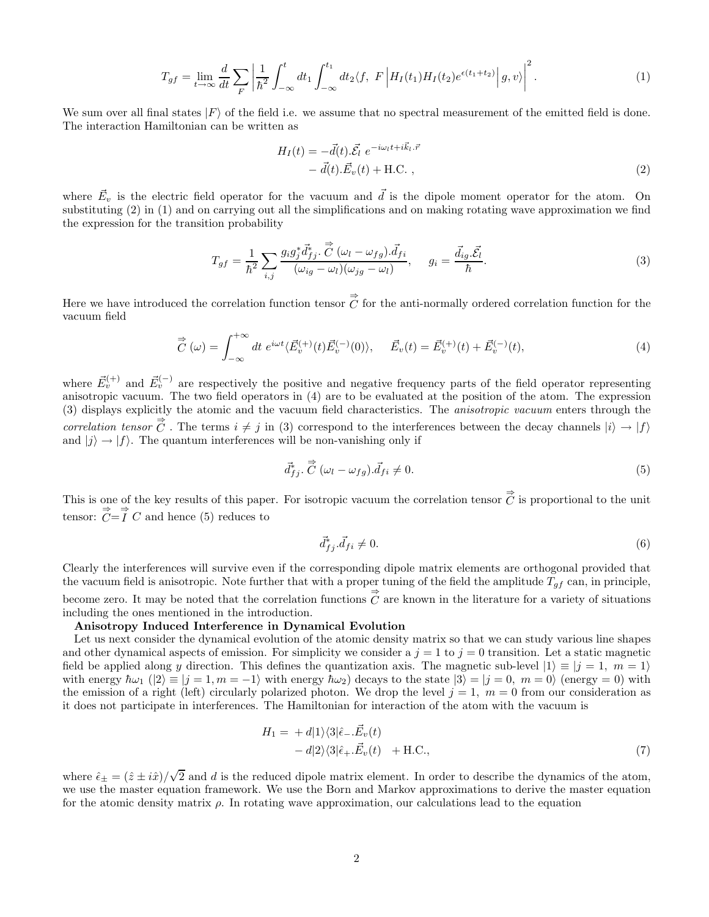$$
T_{gf} = \lim_{t \to \infty} \frac{d}{dt} \sum_{F} \left| \frac{1}{\hbar^2} \int_{-\infty}^t dt_1 \int_{-\infty}^{t_1} dt_2 \langle f, F \left| H_I(t_1) H_I(t_2) e^{\epsilon(t_1 + t_2)} \right| g, v \rangle \right|^2.
$$
 (1)

We sum over all final states  $|F\rangle$  of the field i.e. we assume that no spectral measurement of the emitted field is done. The interaction Hamiltonian can be written as

$$
H_I(t) = -\vec{d}(t).\vec{\mathcal{E}_l} e^{-i\omega_l t + i\vec{k}_l \cdot \vec{r}} - \vec{d}(t).\vec{E}_v(t) + \text{H.C.} ,
$$
\n(2)

where  $\vec{E}_v$  is the electric field operator for the vacuum and  $\vec{d}$  is the dipole moment operator for the atom. On substituting (2) in (1) and on carrying out all the simplifications and on making rotating wave approximation we find the expression for the transition probability

$$
T_{gf} = \frac{1}{\hbar^2} \sum_{i,j} \frac{g_i g_j^* \vec{d}_{fj}^* \cdot \vec{C} (\omega_l - \omega_{fg}) \cdot \vec{d}_{fi}}{(\omega_{ig} - \omega_l)(\omega_{fg} - \omega_l)}, \quad g_i = \frac{\vec{d}_{ig} \cdot \vec{\mathcal{E}}_l}{\hbar}.
$$
 (3)

Here we have introduced the correlation function tensor  $\vec{C}$  for the anti-normally ordered correlation function for the vacuum field

$$
\vec{C}(\omega) = \int_{-\infty}^{+\infty} dt \ e^{i\omega t} \langle \vec{E}_v^{(+)}(t) \vec{E}_v^{(-)}(0) \rangle, \quad \vec{E}_v(t) = \vec{E}_v^{(+)}(t) + \vec{E}_v^{(-)}(t), \tag{4}
$$

where  $\vec{E}_{v}^{(+)}$  and  $\vec{E}_{v}^{(-)}$  are respectively the positive and negative frequency parts of the field operator representing anisotropic vacuum. The two field operators in (4) are to be evaluated at the position of the atom. The expression (3) displays explicitly the atomic and the vacuum field characteristics. The anisotropic vacuum enters through the correlation tensor  $\vec{C}$ . The terms  $i \neq j$  in (3) correspond to the interferences between the decay channels  $|i\rangle \rightarrow |f\rangle$ and  $|j\rangle \rightarrow |f\rangle$ . The quantum interferences will be non-vanishing only if

$$
\vec{d}_{fj}^*, \vec{C} \ (\omega_l - \omega_{fg}). \vec{d}_{fi} \neq 0. \tag{5}
$$

This is one of the key results of this paper. For isotropic vacuum the correlation tensor  $\vec{C}$  is proportional to the unit tensor:  $\overrightarrow{C} = \overrightarrow{I} C$  and hence (5) reduces to

$$
\vec{d}_{fj}^*, \vec{d}_{fi} \neq 0. \tag{6}
$$

Clearly the interferences will survive even if the corresponding dipole matrix elements are orthogonal provided that the vacuum field is anisotropic. Note further that with a proper tuning of the field the amplitude  $T_{gf}$  can, in principle, become zero. It may be noted that the correlation functions  $\vec{C}$  are known in the literature for a variety of situations including the ones mentioned in the introduction.

## Anisotropy Induced Interference in Dynamical Evolution

Let us next consider the dynamical evolution of the atomic density matrix so that we can study various line shapes and other dynamical aspects of emission. For simplicity we consider a  $j = 1$  to  $j = 0$  transition. Let a static magnetic field be applied along y direction. This defines the quantization axis. The magnetic sub-level  $|1\rangle \equiv |j = 1, m = 1\rangle$ with energy  $\hbar\omega_1$  ( $|2\rangle \equiv |j = 1, m = -1\rangle$  with energy  $\hbar\omega_2$ ) decays to the state  $|3\rangle = |j = 0, m = 0\rangle$  (energy = 0) with the emission of a right (left) circularly polarized photon. We drop the level  $j = 1, m = 0$  from our consideration as it does not participate in interferences. The Hamiltonian for interaction of the atom with the vacuum is

$$
H_1 = + d|1\rangle\langle 3|\hat{\epsilon}_-. \vec{E}_v(t) - d|2\rangle\langle 3|\hat{\epsilon}_+. \vec{E}_v(t) + \text{H.C.},
$$
\n(7)

where  $\hat{\epsilon}_{\pm} = (\hat{z} \pm i\hat{x})/\sqrt{2}$  and d is the reduced dipole matrix element. In order to describe the dynamics of the atom, we use the master equation framework. We use the Born and Markov approximations to derive the master equation for the atomic density matrix  $\rho$ . In rotating wave approximation, our calculations lead to the equation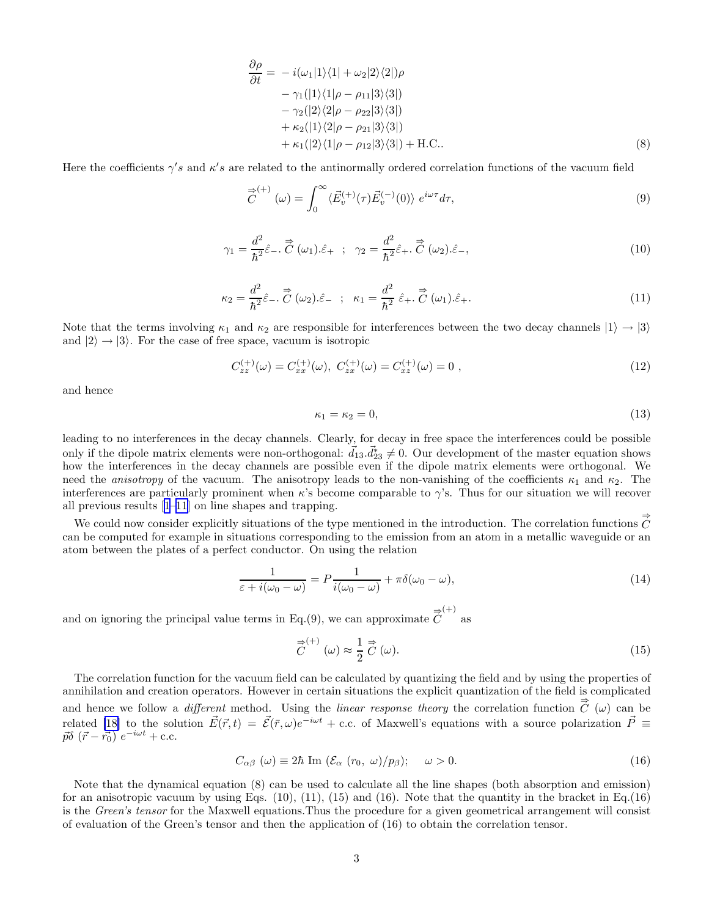$$
\frac{\partial \rho}{\partial t} = -i(\omega_1|1\rangle\langle 1| + \omega_2|2\rangle\langle 2|)\rho \n- \gamma_1(|1\rangle\langle 1|\rho - \rho_{11}|3\rangle\langle 3|)\n- \gamma_2(|2\rangle\langle 2|\rho - \rho_{22}|3\rangle\langle 3|)\n+ \kappa_2(|1\rangle\langle 2|\rho - \rho_{21}|3\rangle\langle 3|)\n+ \kappa_1(|2\rangle\langle 1|\rho - \rho_{12}|3\rangle\langle 3|) + H.C..
$$
\n(8)

Here the coefficients  $\gamma's$  and  $\kappa's$  are related to the antinormally ordered correlation functions of the vacuum field

$$
\vec{\widetilde{C}}^{(+)}(\omega) = \int_0^\infty \langle \vec{E}_v^{(+)}(\tau) \vec{E}_v^{(-)}(0) \rangle \ e^{i\omega \tau} d\tau,\tag{9}
$$

$$
\gamma_1 = \frac{d^2}{\hbar^2} \hat{\varepsilon}_-, \vec{\widetilde{C}}(\omega_1) \cdot \hat{\varepsilon}_+ ; \quad \gamma_2 = \frac{d^2}{\hbar^2} \hat{\varepsilon}_+, \vec{\widetilde{C}}(\omega_2) \cdot \hat{\varepsilon}_-, \tag{10}
$$

$$
\kappa_2 = \frac{d^2}{\hbar^2} \hat{\varepsilon}_-, \stackrel{\Rightarrow}{C} (\omega_2) . \hat{\varepsilon}_- ; \quad \kappa_1 = \frac{d^2}{\hbar^2} \hat{\varepsilon}_+, \stackrel{\Rightarrow}{C} (\omega_1) . \hat{\varepsilon}_+.
$$
\n(11)

Note that the terms involving  $\kappa_1$  and  $\kappa_2$  are responsible for interferences between the two decay channels  $|1\rangle \rightarrow |3\rangle$ and  $|2\rangle \rightarrow |3\rangle$ . For the case of free space, vacuum is isotropic

$$
C_{zz}^{(+)}(\omega) = C_{xx}^{(+)}(\omega), \ C_{zx}^{(+)}(\omega) = C_{xz}^{(+)}(\omega) = 0 , \qquad (12)
$$

and hence

$$
\kappa_1 = \kappa_2 = 0,\tag{13}
$$

leading to no interferences in the decay channels. Clearly, for decay in free space the interferences could be possible only if the dipole matrix elements were non-orthogonal:  $\vec{d}_{13} \cdot \vec{d}_{23}^* \neq 0$ . Our development of the master equation shows how the interferences in the decay channels are possible even if the dipole matrix elements were orthogonal. We need the *anisotropy* of the vacuum. The anisotropy leads to the non-vanishing of the coefficients  $\kappa_1$  and  $\kappa_2$ . The interferences are particularly prominent when  $\kappa$ 's become comparable to  $\gamma$ 's. Thus for our situation we will recover all previous results[[1](#page-3-0)–[11](#page-4-0)] on line shapes and trapping.

We could now consider explicitly situations of the type mentioned in the introduction. The correlation functions  $\vec{C}$ can be computed for example in situations corresponding to the emission from an atom in a metallic waveguide or an atom between the plates of a perfect conductor. On using the relation

$$
\frac{1}{\varepsilon + i(\omega_0 - \omega)} = P \frac{1}{i(\omega_0 - \omega)} + \pi \delta(\omega_0 - \omega),\tag{14}
$$

and on ignoring the principal value terms in Eq.(9), we can approximate  $\overrightarrow{C}^{(+)}$  as

$$
\vec{C}^{(+)}(\omega) \approx \frac{1}{2} \vec{C}(\omega). \tag{15}
$$

The correlation function for the vacuum field can be calculated by quantizing the field and by using the properties of annihilation and creation operators. However in certain situations the explicit quantization of the field is complicated and hence we follow a *different* method. Using the *linear response theory* the correlation function  $\vec{C}(\omega)$  can be related [\[18\]](#page-4-0) to the solution  $\vec{E}(\vec{r}, t) = \vec{\mathcal{E}}(\vec{r}, \omega)e^{-i\omega t} + \text{c.c.}$  of Maxwell's equations with a source polarization  $\vec{P} \equiv$  $\vec{p}\delta\left(\vec{r}-\vec{r_0}\right)e^{-i\omega t}$  + c.c.

$$
C_{\alpha\beta} \ (\omega) \equiv 2\hbar \ \text{Im} \ (\mathcal{E}_{\alpha} \ (r_0, \ \omega)/p_{\beta}); \quad \omega > 0. \tag{16}
$$

Note that the dynamical equation (8) can be used to calculate all the line shapes (both absorption and emission) for an anisotropic vacuum by using Eqs.  $(10)$ ,  $(11)$ ,  $(15)$  and  $(16)$ . Note that the quantity in the bracket in Eq.  $(16)$ is the Green's tensor for the Maxwell equations.Thus the procedure for a given geometrical arrangement will consist of evaluation of the Green's tensor and then the application of (16) to obtain the correlation tensor.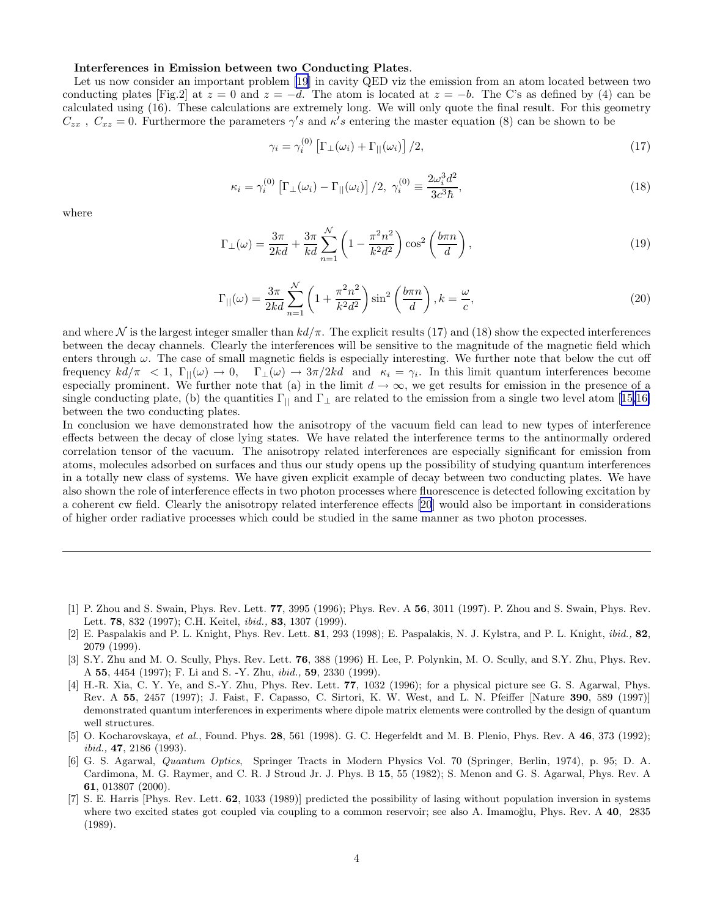## <span id="page-3-0"></span>Interferences in Emission between two Conducting Plates.

Let us now consider an important problem [\[19](#page-4-0)] in cavity QED viz the emission from an atom located between two conducting plates [Fig.2] at  $z = 0$  and  $z = -d$ . The atom is located at  $z = -b$ . The C's as defined by (4) can be calculated using (16). These calculations are extremely long. We will only quote the final result. For this geometry  $C_{zx}$ ,  $C_{xz} = 0$ . Furthermore the parameters  $\gamma's$  and  $\kappa's$  entering the master equation (8) can be shown to be

$$
\gamma_i = \gamma_i^{(0)} \left[ \Gamma_\perp(\omega_i) + \Gamma_{||}(\omega_i) \right] / 2,\tag{17}
$$

$$
\kappa_i = \gamma_i^{(0)} \left[ \Gamma_\perp(\omega_i) - \Gamma_{||}(\omega_i) \right] / 2, \ \gamma_i^{(0)} \equiv \frac{2\omega_i^3 d^2}{3c^3 \hbar}, \tag{18}
$$

where

$$
\Gamma_{\perp}(\omega) = \frac{3\pi}{2kd} + \frac{3\pi}{kd} \sum_{n=1}^{N} \left( 1 - \frac{\pi^2 n^2}{k^2 d^2} \right) \cos^2\left(\frac{b\pi n}{d}\right),\tag{19}
$$

$$
\Gamma_{||}(\omega) = \frac{3\pi}{2kd} \sum_{n=1}^{N} \left( 1 + \frac{\pi^2 n^2}{k^2 d^2} \right) \sin^2\left(\frac{b\pi n}{d}\right), k = \frac{\omega}{c},\tag{20}
$$

and where N is the largest integer smaller than  $kd/\pi$ . The explicit results (17) and (18) show the expected interferences between the decay channels. Clearly the interferences will be sensitive to the magnitude of the magnetic field which enters through  $\omega$ . The case of small magnetic fields is especially interesting. We further note that below the cut off frequency  $kd/\pi < 1$ ,  $\Gamma_{\parallel}(\omega) \rightarrow 0$ ,  $\Gamma_{\perp}(\omega) \rightarrow 3\pi/2kd$  and  $\kappa_i = \gamma_i$ . In this limit quantum interferences become especially prominent. We further note that (a) in the limit  $d \to \infty$ , we get results for emission in the presence of a singleconducting plate, (b) the quantities  $\Gamma_{\parallel}$  and  $\Gamma_{\perp}$  are related to the emission from a single two level atom [[15,16\]](#page-4-0) between the two conducting plates.

In conclusion we have demonstrated how the anisotropy of the vacuum field can lead to new types of interference effects between the decay of close lying states. We have related the interference terms to the antinormally ordered correlation tensor of the vacuum. The anisotropy related interferences are especially significant for emission from atoms, molecules adsorbed on surfaces and thus our study opens up the possibility of studying quantum interferences in a totally new class of systems. We have given explicit example of decay between two conducting plates. We have also shown the role of interference effects in two photon processes where fluorescence is detected following excitation by a coherent cw field. Clearly the anisotropy related interference effects [\[20](#page-4-0)] would also be important in considerations of higher order radiative processes which could be studied in the same manner as two photon processes.

- [1] P. Zhou and S. Swain, Phys. Rev. Lett. 77, 3995 (1996); Phys. Rev. A 56, 3011 (1997). P. Zhou and S. Swain, Phys. Rev. Lett. 78, 832 (1997); C.H. Keitel, ibid., 83, 1307 (1999).
- [2] E. Paspalakis and P. L. Knight, Phys. Rev. Lett. 81, 293 (1998); E. Paspalakis, N. J. Kylstra, and P. L. Knight, ibid., 82, 2079 (1999).
- [3] S.Y. Zhu and M. O. Scully, Phys. Rev. Lett. 76, 388 (1996) H. Lee, P. Polynkin, M. O. Scully, and S.Y. Zhu, Phys. Rev. A 55, 4454 (1997); F. Li and S. -Y. Zhu, ibid., 59, 2330 (1999).
- [4] H.-R. Xia, C. Y. Ye, and S.-Y. Zhu, Phys. Rev. Lett. 77, 1032 (1996); for a physical picture see G. S. Agarwal, Phys. Rev. A 55, 2457 (1997); J. Faist, F. Capasso, C. Sirtori, K. W. West, and L. N. Pfeiffer [Nature 390, 589 (1997)] demonstrated quantum interferences in experiments where dipole matrix elements were controlled by the design of quantum well structures.
- [5] O. Kocharovskaya, *et al.*, Found. Phys.  $28$ , 561 (1998). G. C. Hegerfeldt and M. B. Plenio, Phys. Rev. A  $46$ , 373 (1992); ibid., 47, 2186 (1993).
- [6] G. S. Agarwal, Quantum Optics, Springer Tracts in Modern Physics Vol. 70 (Springer, Berlin, 1974), p. 95; D. A. Cardimona, M. G. Raymer, and C. R. J Stroud Jr. J. Phys. B 15, 55 (1982); S. Menon and G. S. Agarwal, Phys. Rev. A 61, 013807 (2000).
- [7] S. E. Harris [Phys. Rev. Lett. 62, 1033 (1989)] predicted the possibility of lasing without population inversion in systems where two excited states got coupled via coupling to a common reservoir; see also A. Imamoğlu, Phys. Rev.  $A$  40, 2835 (1989).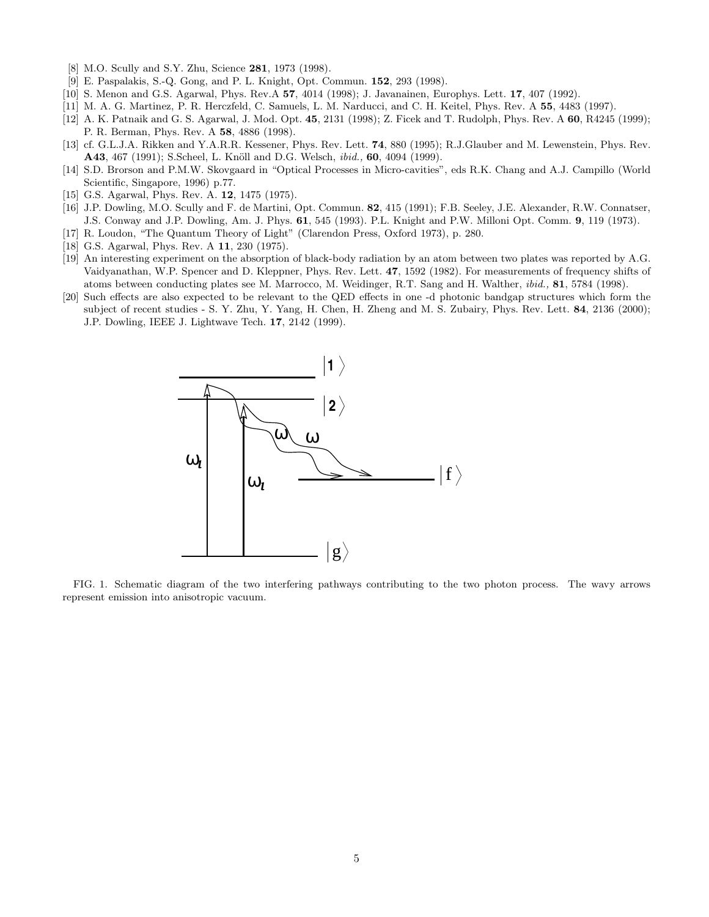- <span id="page-4-0"></span>[8] M.O. Scully and S.Y. Zhu, Science 281, 1973 (1998).
- [9] E. Paspalakis, S.-Q. Gong, and P. L. Knight, Opt. Commun. 152, 293 (1998).
- [10] S. Menon and G.S. Agarwal, Phys. Rev.A 57, 4014 (1998); J. Javanainen, Europhys. Lett. 17, 407 (1992).
- [11] M. A. G. Martinez, P. R. Herczfeld, C. Samuels, L. M. Narducci, and C. H. Keitel, Phys. Rev. A 55, 4483 (1997).
- [12] A. K. Patnaik and G. S. Agarwal, J. Mod. Opt. 45, 2131 (1998); Z. Ficek and T. Rudolph, Phys. Rev. A 60, R4245 (1999); P. R. Berman, Phys. Rev. A 58, 4886 (1998).
- [13] cf. G.L.J.A. Rikken and Y.A.R.R. Kessener, Phys. Rev. Lett. 74, 880 (1995); R.J.Glauber and M. Lewenstein, Phys. Rev. A43, 467 (1991); S.Scheel, L. Knöll and D.G. Welsch, *ibid.*, 60, 4094 (1999).
- [14] S.D. Brorson and P.M.W. Skovgaard in "Optical Processes in Micro-cavities", eds R.K. Chang and A.J. Campillo (World Scientific, Singapore, 1996) p.77.
- [15] G.S. Agarwal, Phys. Rev. A. 12, 1475 (1975).
- [16] J.P. Dowling, M.O. Scully and F. de Martini, Opt. Commun. 82, 415 (1991); F.B. Seeley, J.E. Alexander, R.W. Connatser, J.S. Conway and J.P. Dowling, Am. J. Phys. 61, 545 (1993). P.L. Knight and P.W. Milloni Opt. Comm. 9, 119 (1973).
- [17] R. Loudon, "The Quantum Theory of Light" (Clarendon Press, Oxford 1973), p. 280.
- [18] G.S. Agarwal, Phys. Rev. A 11, 230 (1975).
- [19] An interesting experiment on the absorption of black-body radiation by an atom between two plates was reported by A.G. Vaidyanathan, W.P. Spencer and D. Kleppner, Phys. Rev. Lett. 47, 1592 (1982). For measurements of frequency shifts of atoms between conducting plates see M. Marrocco, M. Weidinger, R.T. Sang and H. Walther, ibid., 81, 5784 (1998).
- [20] Such effects are also expected to be relevant to the QED effects in one -d photonic bandgap structures which form the subject of recent studies - S. Y. Zhu, Y. Yang, H. Chen, H. Zheng and M. S. Zubairy, Phys. Rev. Lett. 84, 2136 (2000); J.P. Dowling, IEEE J. Lightwave Tech. 17, 2142 (1999).



FIG. 1. Schematic diagram of the two interfering pathways contributing to the two photon process. The wavy arrows represent emission into anisotropic vacuum.